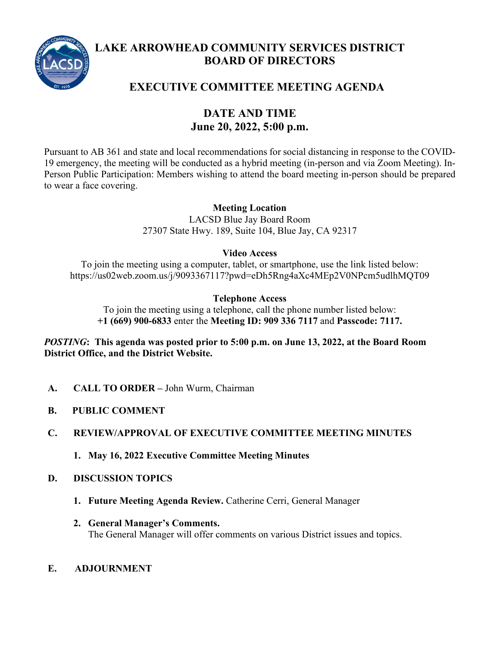

# **LAKE ARROWHEAD COMMUNITY SERVICES DISTRICT BOARD OF DIRECTORS**

## **EXECUTIVE COMMITTEE MEETING AGENDA**

## **June 20, 2022, 5:00 p.m. DATE AND TIME**

 Person Public Participation: Members wishing to attend the board meeting in-person should be prepared Pursuant to AB 361 and state and local recommendations for social distancing in response to the COVID-19 emergency, the meeting will be conducted as a hybrid meeting (in-person and via Zoom Meeting). Into wear a face covering.

### **Meeting Location**

LACSD Blue Jay Board Room 27307 State Hwy. 189, Suite 104, Blue Jay, CA 92317

#### **Video Access**

To join the meeting using a computer, tablet, or smartphone, use the link listed below: <https://us02web.zoom.us/j/9093367117?pwd=eDh5Rng4aXc4MEp2V0NPcm5udlhMQT09>

### **Telephone Access**

To join the meeting using a telephone, call the phone number listed below: **+1 (669) 900-6833** enter the **Meeting ID: 909 336 7117** and **Passcode: 7117.** 

#### *POSTING***: This agenda was posted prior to 5:00 p.m. on June 13, 2022, at the Board Room District Office, and the District Website.**

- **A. CALL TO ORDER** John Wurm, Chairman
- **B. PUBLIC COMMENT**

### **C. REVIEW/APPROVAL OF EXECUTIVE COMMITTEE MEETING MINUTES**

**1. May 16, 2022 Executive Committee Meeting Minutes** 

#### **D. DISCUSSION TOPICS**

- **1. Future Meeting Agenda Review.** Catherine Cerri, General Manager
- **2. General Manager's Comments.** The General Manager will offer comments on various District issues and topics.
- **E. ADJOURNMENT**